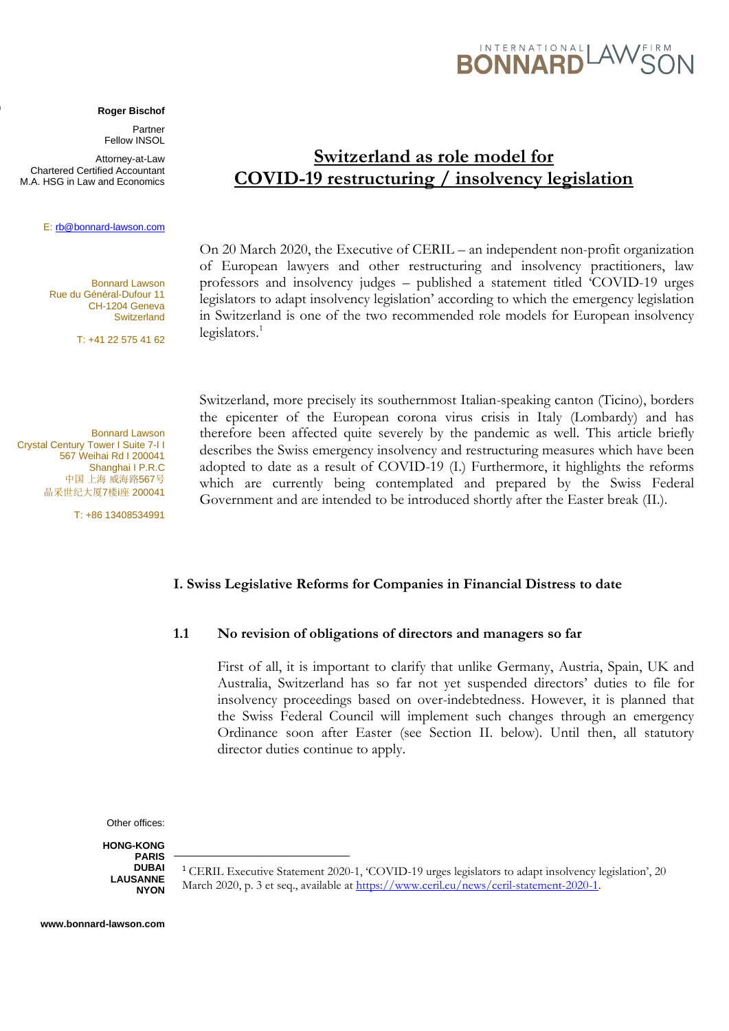#### **Roger Bischof**

Partner Fellow INSOL

Attorney-at-Law Chartered Certified Accountant M.A. HSG in Law and Economics

**www.ilf.ch**

#### E[: rb@bonnard-lawson.com](mailto:rb@bonnard-lawson.com)

Bonnard Lawson Rue du Général-Dufour 11 CH-1204 Geneva **Switzerland** 

T: +41 22 575 41 62

Bonnard Lawson Crystal Century Tower I Suite 7-I I 567 Weihai Rd I 200041 Shanghai I P.R.C 中国 上海 威海路567号 晶采世纪大厦7楼i座 200041

T: +86 13408534991

# **Switzerland as role model for COVID-19 restructuring / insolvency legislation**

On 20 March 2020, the Executive of CERIL – an independent non-profit organization of European lawyers and other restructuring and insolvency practitioners, law professors and insolvency judges – published a statement titled 'COVID-19 urges legislators to adapt insolvency legislation' according to which the emergency legislation in Switzerland is one of the two recommended role models for European insolvency  $legis$ lators.<sup>1</sup>

Switzerland, more precisely its southernmost Italian-speaking canton (Ticino), borders the epicenter of the European corona virus crisis in Italy (Lombardy) and has therefore been affected quite severely by the pandemic as well. This article briefly describes the Swiss emergency insolvency and restructuring measures which have been adopted to date as a result of COVID-19 (I.) Furthermore, it highlights the reforms which are currently being contemplated and prepared by the Swiss Federal Government and are intended to be introduced shortly after the Easter break (II.).

#### **I. Swiss Legislative Reforms for Companies in Financial Distress to date**

#### **1.1 No revision of obligations of directors and managers so far**

First of all, it is important to clarify that unlike Germany, Austria, Spain, UK and Australia, Switzerland has so far not yet suspended directors' duties to file for insolvency proceedings based on over-indebtedness. However, it is planned that the Swiss Federal Council will implement such changes through an emergency Ordinance soon after Easter (see Section II. below). Until then, all statutory director duties continue to apply.

Other offices:

**HONG-KONG PARIS DUBAI LAUSANNE NYON**

<sup>1</sup> CERIL Executive Statement 2020-1, 'COVID-19 urges legislators to adapt insolvency legislation', 20 March 2020, p. 3 et seq., available at [https://www.ceril.eu/news/ceril-statement-2020-1.](https://www.ceril.eu/news/ceril-statement-2020-1)

# INTERNATIONAL  $\forall$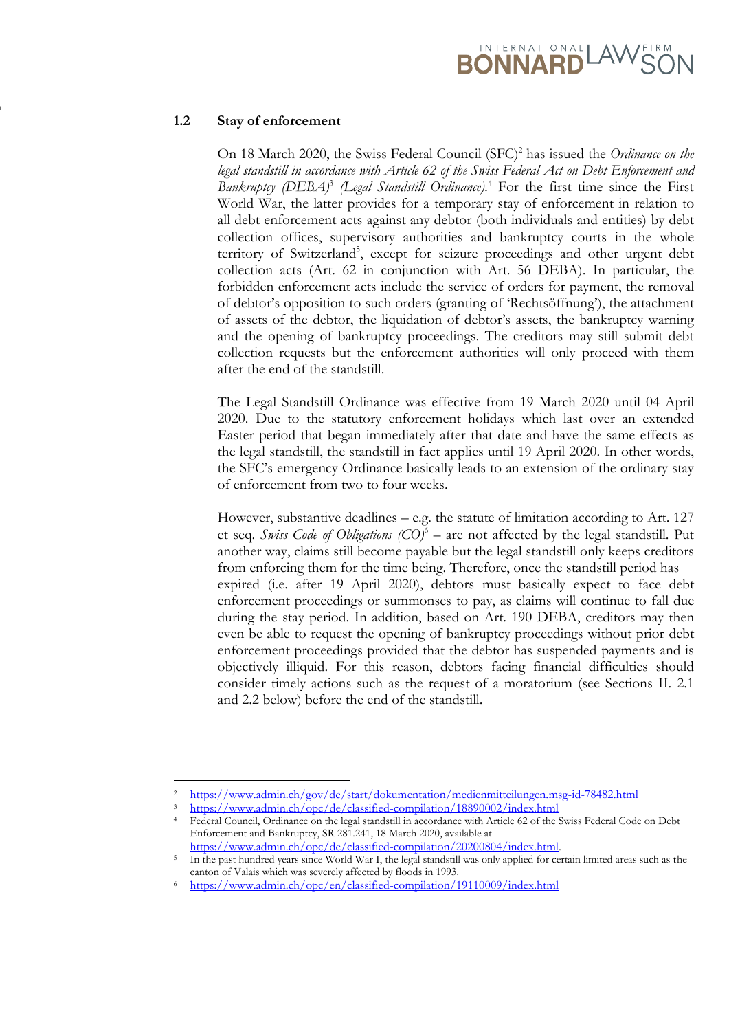# BONNARD<sup>LAWSC</sup>

## **1.2 Stay of enforcement**

**www.ilf.ch**

On 18 March 2020, the Swiss Federal Council (SFC)<sup>2</sup> has issued the *Ordinance on the legal standstill in accordance with Article 62 of the Swiss Federal Act on Debt Enforcement and*  Bankruptcy (DEBA)<sup>3</sup> (Legal Standstill Ordinance).<sup>4</sup> For the first time since the First World War, the latter provides for a temporary stay of enforcement in relation to all debt enforcement acts against any debtor (both individuals and entities) by debt collection offices, supervisory authorities and bankruptcy courts in the whole territory of Switzerland<sup>5</sup>, except for seizure proceedings and other urgent debt collection acts (Art. 62 in conjunction with Art. 56 DEBA). In particular, the forbidden enforcement acts include the service of orders for payment, the removal of debtor's opposition to such orders (granting of 'Rechtsöffnung'), the attachment of assets of the debtor, the liquidation of debtor's assets, the bankruptcy warning and the opening of bankruptcy proceedings. The creditors may still submit debt collection requests but the enforcement authorities will only proceed with them after the end of the standstill.

The Legal Standstill Ordinance was effective from 19 March 2020 until 04 April 2020. Due to the statutory enforcement holidays which last over an extended Easter period that began immediately after that date and have the same effects as the legal standstill, the standstill in fact applies until 19 April 2020. In other words, the SFC's emergency Ordinance basically leads to an extension of the ordinary stay of enforcement from two to four weeks.

However, substantive deadlines – e.g. the statute of limitation according to Art. 127 et seq. *Swiss Code of Obligations (CO)*<sup>6</sup> – are not affected by the legal standstill. Put another way, claims still become payable but the legal standstill only keeps creditors from enforcing them for the time being. Therefore, once the standstill period has expired (i.e. after 19 April 2020), debtors must basically expect to face debt enforcement proceedings or summonses to pay, as claims will continue to fall due during the stay period. In addition, based on Art. 190 DEBA, creditors may then even be able to request the opening of bankruptcy proceedings without prior debt enforcement proceedings provided that the debtor has suspended payments and is objectively illiquid. For this reason, debtors facing financial difficulties should consider timely actions such as the request of a moratorium (see Sections II. 2.1 and 2.2 below) before the end of the standstill.

<sup>2</sup> https://www.admin.ch/gov/de/start/dokumentation/medienmitteilungen.msg-id-78482.html

<sup>3</sup> https://www.admin.ch/opc/de/classified-compilation/18890002/index.html

<sup>4</sup> Federal Council, Ordinance on the legal standstill in accordance with Article 62 of the Swiss Federal Code on Debt Enforcement and Bankruptcy, SR 281.241, 18 March 2020, available at [https://www.admin.ch/opc/de/classified-compilation/20200804/index.html.](https://www.admin.ch/opc/de/classified-compilation/20200804/index.html)

<sup>5</sup> In the past hundred years since World War I, the legal standstill was only applied for certain limited areas such as the canton of Valais which was severely affected by floods in 1993.

<sup>6</sup> https://www.admin.ch/opc/en/classified-compilation/19110009/index.html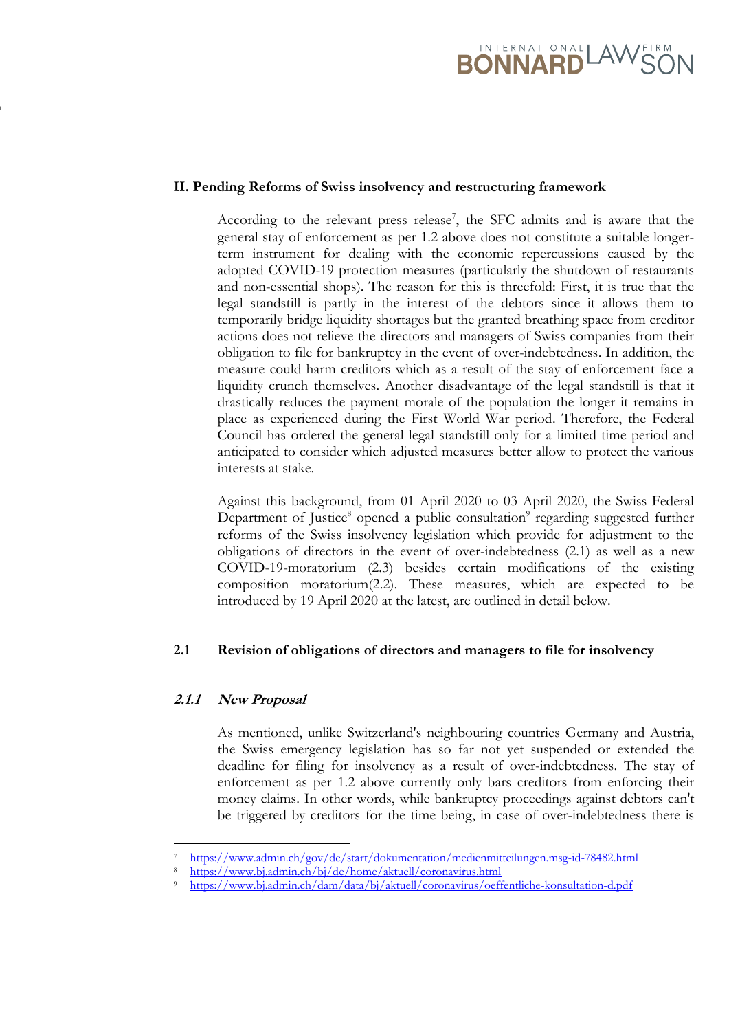

#### **II. Pending Reforms of Swiss insolvency and restructuring framework**

According to the relevant press release<sup>7</sup>, the SFC admits and is aware that the general stay of enforcement as per 1.2 above does not constitute a suitable longerterm instrument for dealing with the economic repercussions caused by the adopted COVID-19 protection measures (particularly the shutdown of restaurants and non-essential shops). The reason for this is threefold: First, it is true that the legal standstill is partly in the interest of the debtors since it allows them to temporarily bridge liquidity shortages but the granted breathing space from creditor actions does not relieve the directors and managers of Swiss companies from their obligation to file for bankruptcy in the event of over-indebtedness. In addition, the measure could harm creditors which as a result of the stay of enforcement face a liquidity crunch themselves. Another disadvantage of the legal standstill is that it drastically reduces the payment morale of the population the longer it remains in place as experienced during the First World War period. Therefore, the Federal Council has ordered the general legal standstill only for a limited time period and anticipated to consider which adjusted measures better allow to protect the various interests at stake.

Against this background, from 01 April 2020 to 03 April 2020, the Swiss Federal Department of Justice<sup>8</sup> opened a public consultation<sup>9</sup> regarding suggested further reforms of the Swiss insolvency legislation which provide for adjustment to the obligations of directors in the event of over-indebtedness (2.1) as well as a new COVID-19-moratorium (2.3) besides certain modifications of the existing composition moratorium(2.2). These measures, which are expected to be introduced by 19 April 2020 at the latest, are outlined in detail below.

## **2.1 Revision of obligations of directors and managers to file for insolvency**

## **2.1.1 New Proposal**

**www.ilf.ch**

As mentioned, unlike Switzerland's neighbouring countries Germany and Austria, the Swiss emergency legislation has so far not yet suspended or extended the deadline for filing for insolvency as a result of over-indebtedness. The stay of enforcement as per 1.2 above currently only bars creditors from enforcing their money claims. In other words, while bankruptcy proceedings against debtors can't be triggered by creditors for the time being, in case of over-indebtedness there is

<sup>7</sup> https://www.admin.ch/gov/de/start/dokumentation/medienmitteilungen.msg-id-78482.html

<sup>8</sup> https://www.bj.admin.ch/bj/de/home/aktuell/coronavirus.html

<sup>9</sup> https://www.bj.admin.ch/dam/data/bj/aktuell/coronavirus/oeffentliche-konsultation-d.pdf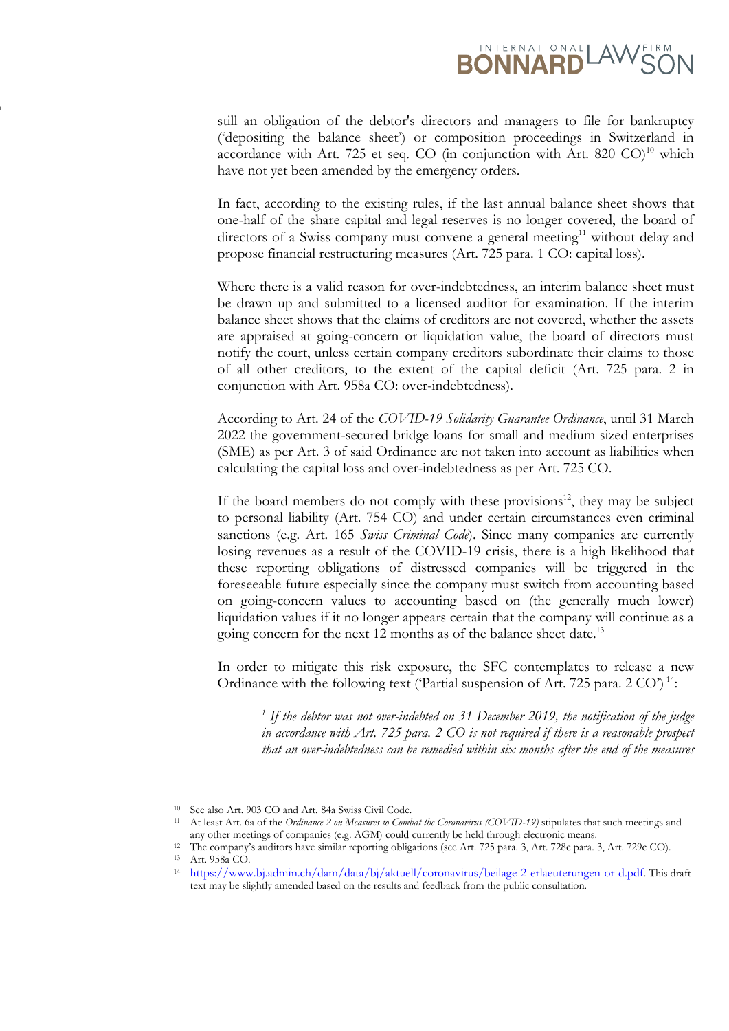

still an obligation of the debtor's directors and managers to file for bankruptcy ('depositing the balance sheet') or composition proceedings in Switzerland in accordance with Art. 725 et seq. CO (in conjunction with Art. 820 CO)<sup>10</sup> which have not yet been amended by the emergency orders.

In fact, according to the existing rules, if the last annual balance sheet shows that one-half of the share capital and legal reserves is no longer covered, the board of directors of a Swiss company must convene a general meeting<sup>11</sup> without delay and propose financial restructuring measures (Art. 725 para. 1 CO: capital loss).

Where there is a valid reason for over-indebtedness, an interim balance sheet must be drawn up and submitted to a licensed auditor for examination. If the interim balance sheet shows that the claims of creditors are not covered, whether the assets are appraised at going-concern or liquidation value, the board of directors must notify the court, unless certain company creditors subordinate their claims to those of all other creditors, to the extent of the capital deficit (Art. 725 para. 2 in conjunction with Art. 958a CO: over-indebtedness).

According to Art. 24 of the *COVID-19 Solidarity Guarantee Ordinance*, until 31 March 2022 the government-secured bridge loans for small and medium sized enterprises (SME) as per Art. 3 of said Ordinance are not taken into account as liabilities when calculating the capital loss and over-indebtedness as per Art. 725 CO.

If the board members do not comply with these provisions<sup>12</sup>, they may be subject to personal liability (Art. 754 CO) and under certain circumstances even criminal sanctions (e.g. Art. 165 *Swiss Criminal Code*). Since many companies are currently losing revenues as a result of the COVID-19 crisis, there is a high likelihood that these reporting obligations of distressed companies will be triggered in the foreseeable future especially since the company must switch from accounting based on going-concern values to accounting based on (the generally much lower) liquidation values if it no longer appears certain that the company will continue as a going concern for the next 12 months as of the balance sheet date.<sup>13</sup>

In order to mitigate this risk exposure, the SFC contemplates to release a new Ordinance with the following text ('Partial suspension of Art. 725 para. 2 CO') <sup>14</sup>:

<sup>1</sup> If the debtor was not over-indebted on 31 December 2019, the notification of the judge *in accordance with Art. 725 para. 2 CO is not required if there is a reasonable prospect that an over-indebtedness can be remedied within six months after the end of the measures* 

**www.ilf.ch**

<sup>10</sup> See also Art. 903 CO and Art. 84a Swiss Civil Code.

<sup>11</sup> At least Art. 6a of the *Ordinance 2 on Measures to Combat the Coronavirus (COVID-19)* stipulates that such meetings and any other meetings of companies (e.g. AGM) could currently be held through electronic means.

<sup>12</sup> The company's auditors have similar reporting obligations (see Art. 725 para. 3, Art. 728c para. 3, Art. 729c CO).

<sup>13</sup> Art. 958a CO.

<sup>14</sup> <https://www.bj.admin.ch/dam/data/bj/aktuell/coronavirus/beilage-2-erlaeuterungen-or-d.pdf>. This draft text may be slightly amended based on the results and feedback from the public consultation.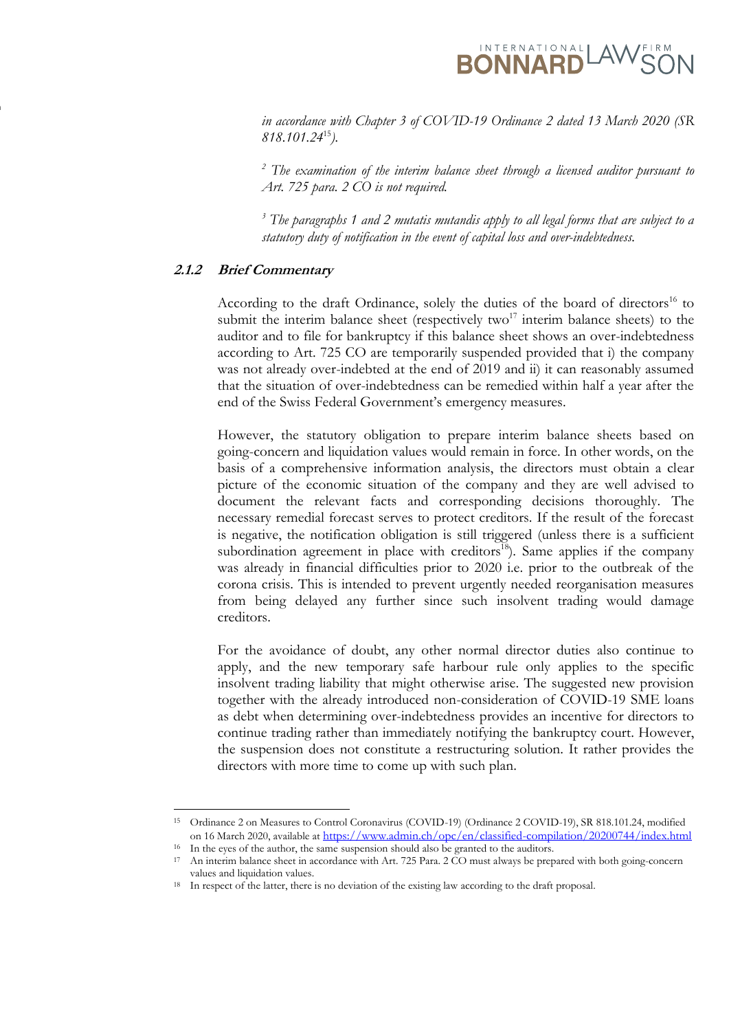**RONNARD** 

*in accordance with Chapter 3 of COVID-19 Ordinance 2 dated 13 March 2020 (SR 818.101.24*<sup>15</sup>*).*

*<sup>2</sup> The examination of the interim balance sheet through a licensed auditor pursuant to Art. 725 para. 2 CO is not required.*

*<sup>3</sup> The paragraphs 1 and 2 mutatis mutandis apply to all legal forms that are subject to a statutory duty of notification in the event of capital loss and over-indebtedness.*

#### **2.1.2 Brief Commentary**

**www.ilf.ch**

According to the draft Ordinance, solely the duties of the board of directors<sup>16</sup> to submit the interim balance sheet (respectively two<sup>17</sup> interim balance sheets) to the auditor and to file for bankruptcy if this balance sheet shows an over-indebtedness according to Art. 725 CO are temporarily suspended provided that i) the company was not already over-indebted at the end of 2019 and ii) it can reasonably assumed that the situation of over-indebtedness can be remedied within half a year after the end of the Swiss Federal Government's emergency measures.

However, the statutory obligation to prepare interim balance sheets based on going-concern and liquidation values would remain in force. In other words, on the basis of a comprehensive information analysis, the directors must obtain a clear picture of the economic situation of the company and they are well advised to document the relevant facts and corresponding decisions thoroughly. The necessary remedial forecast serves to protect creditors. If the result of the forecast is negative, the notification obligation is still triggered (unless there is a sufficient subordination agreement in place with creditors<sup>18</sup>). Same applies if the company was already in financial difficulties prior to 2020 i.e. prior to the outbreak of the corona crisis. This is intended to prevent urgently needed reorganisation measures from being delayed any further since such insolvent trading would damage creditors.

For the avoidance of doubt, any other normal director duties also continue to apply, and the new temporary safe harbour rule only applies to the specific insolvent trading liability that might otherwise arise. The suggested new provision together with the already introduced non-consideration of COVID-19 SME loans as debt when determining over-indebtedness provides an incentive for directors to continue trading rather than immediately notifying the bankruptcy court. However, the suspension does not constitute a restructuring solution. It rather provides the directors with more time to come up with such plan.

<sup>15</sup> Ordinance 2 on Measures to Control Coronavirus (COVID-19) (Ordinance 2 COVID-19), SR 818.101.24, modified on 16 March 2020, available at https://www.admin.ch/opc/en/classified-compilation/20200744/index.html

<sup>&</sup>lt;sup>16</sup> In the eyes of the author, the same suspension should also be granted to the auditors.

<sup>17</sup> An interim balance sheet in accordance with Art. 725 Para. 2 CO must always be prepared with both going-concern values and liquidation values.

<sup>&</sup>lt;sup>18</sup> In respect of the latter, there is no deviation of the existing law according to the draft proposal.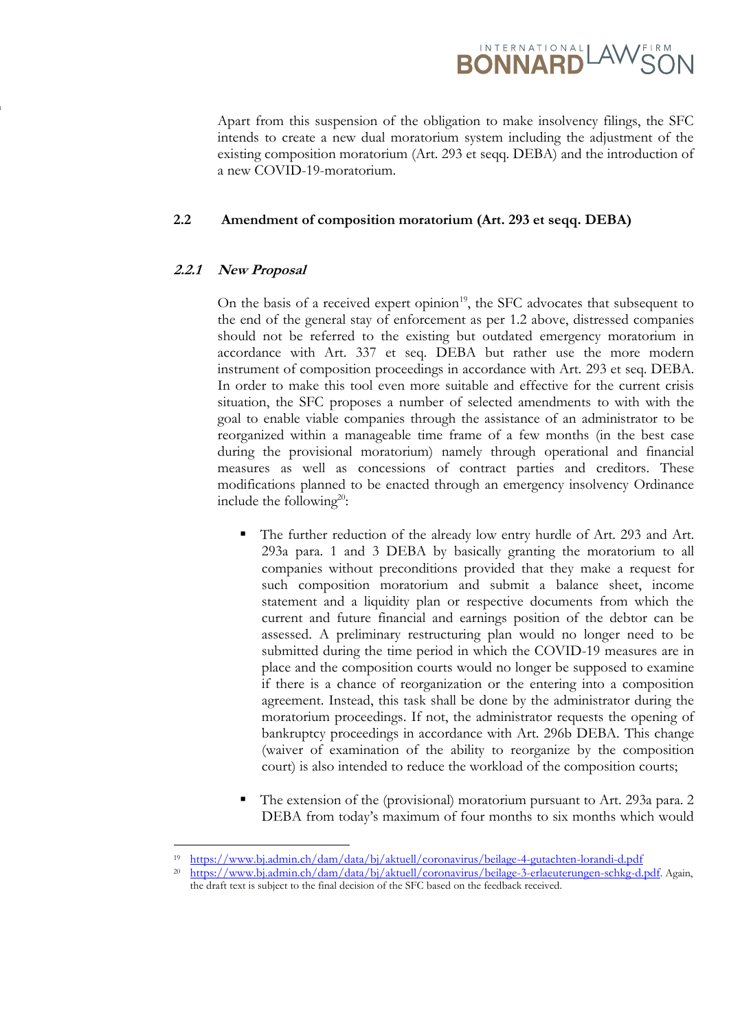

Apart from this suspension of the obligation to make insolvency filings, the SFC intends to create a new dual moratorium system including the adjustment of the existing composition moratorium (Art. 293 et seqq. DEBA) and the introduction of a new COVID-19-moratorium.

#### **2.2 Amendment of composition moratorium (Art. 293 et seqq. DEBA)**

## **2.2.1 New Proposal**

**www.ilf.ch**

On the basis of a received expert opinion<sup>19</sup>, the SFC advocates that subsequent to the end of the general stay of enforcement as per 1.2 above, distressed companies should not be referred to the existing but outdated emergency moratorium in accordance with Art. 337 et seq. DEBA but rather use the more modern instrument of composition proceedings in accordance with Art. 293 et seq. DEBA. In order to make this tool even more suitable and effective for the current crisis situation, the SFC proposes a number of selected amendments to with with the goal to enable viable companies through the assistance of an administrator to be reorganized within a manageable time frame of a few months (in the best case during the provisional moratorium) namely through operational and financial measures as well as concessions of contract parties and creditors. These modifications planned to be enacted through an emergency insolvency Ordinance include the following<sup>20</sup>:

- The further reduction of the already low entry hurdle of Art. 293 and Art. 293a para. 1 and 3 DEBA by basically granting the moratorium to all companies without preconditions provided that they make a request for such composition moratorium and submit a balance sheet, income statement and a liquidity plan or respective documents from which the current and future financial and earnings position of the debtor can be assessed. A preliminary restructuring plan would no longer need to be submitted during the time period in which the COVID-19 measures are in place and the composition courts would no longer be supposed to examine if there is a chance of reorganization or the entering into a composition agreement. Instead, this task shall be done by the administrator during the moratorium proceedings. If not, the administrator requests the opening of bankruptcy proceedings in accordance with Art. 296b DEBA. This change (waiver of examination of the ability to reorganize by the composition court) is also intended to reduce the workload of the composition courts;
- The extension of the (provisional) moratorium pursuant to Art. 293a para. 2 DEBA from today's maximum of four months to six months which would

<sup>19</sup> https://www.bj.admin.ch/dam/data/bj/aktuell/coronavirus/beilage-4-gutachten-lorandi-d.pdf

<sup>20</sup> <https://www.bj.admin.ch/dam/data/bj/aktuell/coronavirus/beilage-3-erlaeuterungen-schkg-d.pdf>. Again, the draft text is subject to the final decision of the SFC based on the feedback received.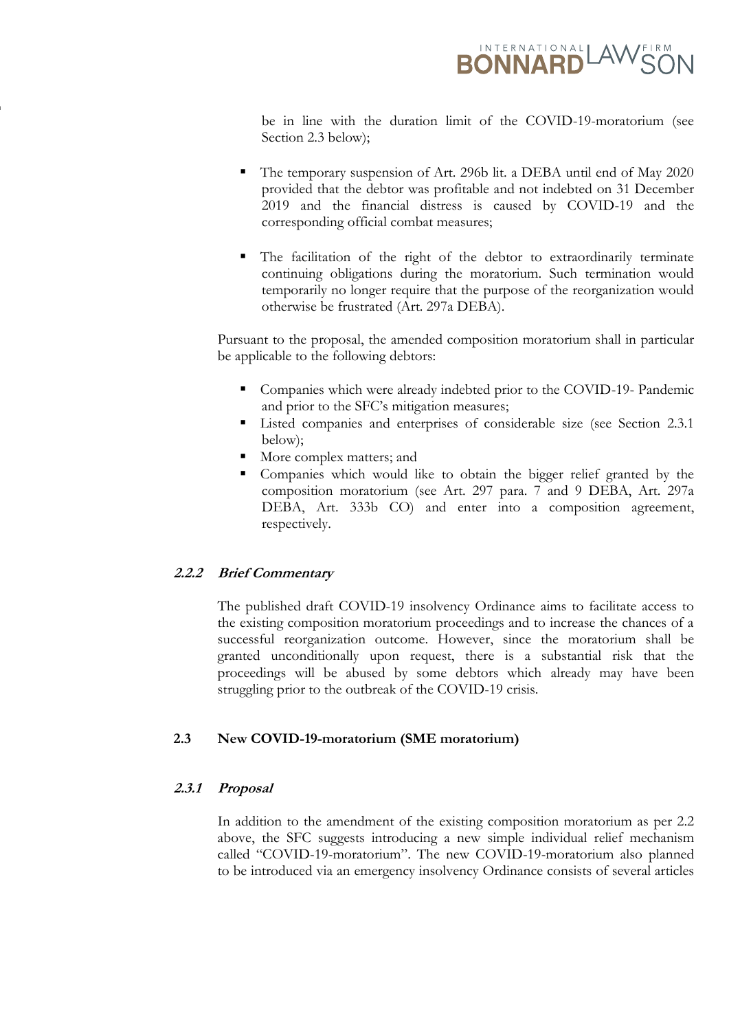

be in line with the duration limit of the COVID-19-moratorium (see Section 2.3 below);

- The temporary suspension of Art. 296b lit. a DEBA until end of May 2020 provided that the debtor was profitable and not indebted on 31 December 2019 and the financial distress is caused by COVID-19 and the corresponding official combat measures;
- The facilitation of the right of the debtor to extraordinarily terminate continuing obligations during the moratorium. Such termination would temporarily no longer require that the purpose of the reorganization would otherwise be frustrated (Art. 297a DEBA).

Pursuant to the proposal, the amended composition moratorium shall in particular be applicable to the following debtors:

- Companies which were already indebted prior to the COVID-19- Pandemic and prior to the SFC's mitigation measures;
- **Example 1** Listed companies and enterprises of considerable size (see Section 2.3.1 below);
- More complex matters; and
- Companies which would like to obtain the bigger relief granted by the composition moratorium (see Art. 297 para. 7 and 9 DEBA, Art. 297a DEBA, Art. 333b CO) and enter into a composition agreement, respectively.

#### **2.2.2 Brief Commentary**

**www.ilf.ch**

The published draft COVID-19 insolvency Ordinance aims to facilitate access to the existing composition moratorium proceedings and to increase the chances of a successful reorganization outcome. However, since the moratorium shall be granted unconditionally upon request, there is a substantial risk that the proceedings will be abused by some debtors which already may have been struggling prior to the outbreak of the COVID-19 crisis.

#### **2.3 New COVID-19-moratorium (SME moratorium)**

## **2.3.1 Proposal**

In addition to the amendment of the existing composition moratorium as per 2.2 above, the SFC suggests introducing a new simple individual relief mechanism called "COVID-19-moratorium". The new COVID-19-moratorium also planned to be introduced via an emergency insolvency Ordinance consists of several articles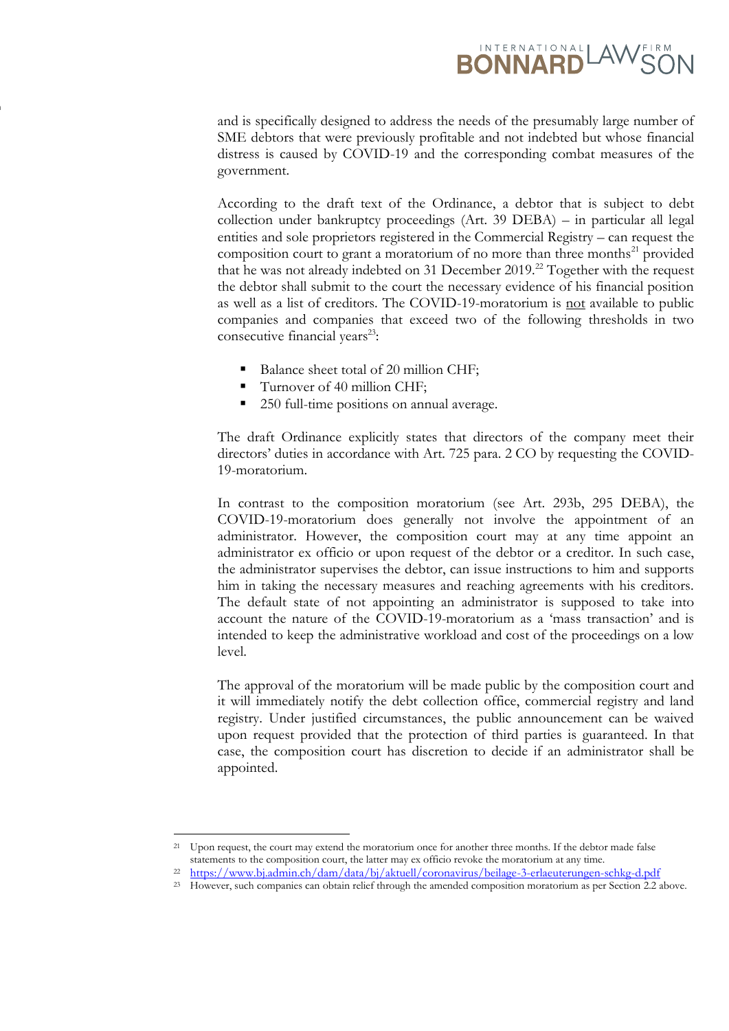# **RONNARD** AWER

and is specifically designed to address the needs of the presumably large number of SME debtors that were previously profitable and not indebted but whose financial distress is caused by COVID-19 and the corresponding combat measures of the government.

According to the draft text of the Ordinance, a debtor that is subject to debt collection under bankruptcy proceedings (Art. 39 DEBA) – in particular all legal entities and sole proprietors registered in the Commercial Registry – can request the composition court to grant a moratorium of no more than three months<sup>21</sup> provided that he was not already indebted on 31 December 2019.<sup>22</sup> Together with the request the debtor shall submit to the court the necessary evidence of his financial position as well as a list of creditors. The COVID-19-moratorium is not available to public companies and companies that exceed two of the following thresholds in two consecutive financial years<sup>23</sup>:

- Balance sheet total of 20 million CHF:
- Turnover of 40 million CHF;

**www.ilf.ch**

250 full-time positions on annual average.

The draft Ordinance explicitly states that directors of the company meet their directors' duties in accordance with Art. 725 para. 2 CO by requesting the COVID-19-moratorium.

In contrast to the composition moratorium (see Art. 293b, 295 DEBA), the COVID-19-moratorium does generally not involve the appointment of an administrator. However, the composition court may at any time appoint an administrator ex officio or upon request of the debtor or a creditor. In such case, the administrator supervises the debtor, can issue instructions to him and supports him in taking the necessary measures and reaching agreements with his creditors. The default state of not appointing an administrator is supposed to take into account the nature of the COVID-19-moratorium as a 'mass transaction' and is intended to keep the administrative workload and cost of the proceedings on a low level.

The approval of the moratorium will be made public by the composition court and it will immediately notify the debt collection office, commercial registry and land registry. Under justified circumstances, the public announcement can be waived upon request provided that the protection of third parties is guaranteed. In that case, the composition court has discretion to decide if an administrator shall be appointed.

<sup>&</sup>lt;sup>21</sup> Upon request, the court may extend the moratorium once for another three months. If the debtor made false statements to the composition court, the latter may ex officio revoke the moratorium at any time.

<sup>22</sup> https://www.bj.admin.ch/dam/data/bj/aktuell/coronavirus/beilage-3-erlaeuterungen-schkg-d.pdf

<sup>&</sup>lt;sup>23</sup> However, such companies can obtain relief through the amended composition moratorium as per Section 2.2 above.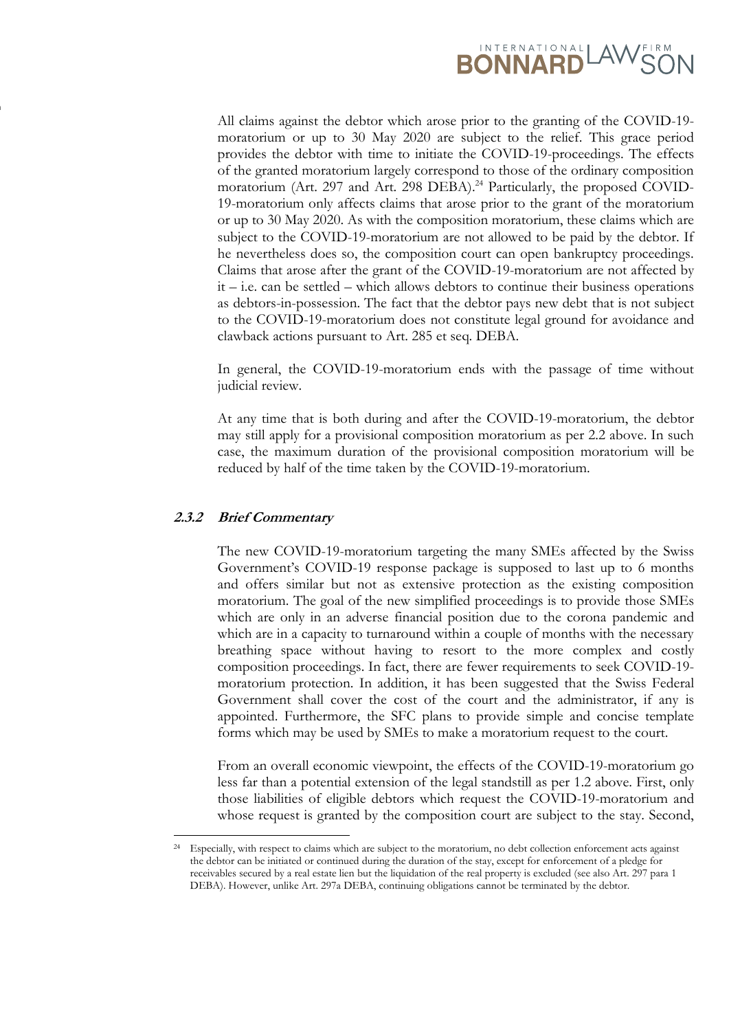

All claims against the debtor which arose prior to the granting of the COVID-19 moratorium or up to 30 May 2020 are subject to the relief. This grace period provides the debtor with time to initiate the COVID-19-proceedings. The effects of the granted moratorium largely correspond to those of the ordinary composition moratorium (Art. 297 and Art. 298 DEBA). <sup>24</sup> Particularly, the proposed COVID-19-moratorium only affects claims that arose prior to the grant of the moratorium or up to 30 May 2020. As with the composition moratorium, these claims which are subject to the COVID-19-moratorium are not allowed to be paid by the debtor. If he nevertheless does so, the composition court can open bankruptcy proceedings. Claims that arose after the grant of the COVID-19-moratorium are not affected by  $it$  – i.e. can be settled – which allows debtors to continue their business operations as debtors-in-possession. The fact that the debtor pays new debt that is not subject to the COVID-19-moratorium does not constitute legal ground for avoidance and clawback actions pursuant to Art. 285 et seq. DEBA.

In general, the COVID-19-moratorium ends with the passage of time without judicial review.

At any time that is both during and after the COVID-19-moratorium, the debtor may still apply for a provisional composition moratorium as per 2.2 above. In such case, the maximum duration of the provisional composition moratorium will be reduced by half of the time taken by the COVID-19-moratorium.

#### **2.3.2 Brief Commentary**

**www.ilf.ch**

The new COVID-19-moratorium targeting the many SMEs affected by the Swiss Government's COVID-19 response package is supposed to last up to 6 months and offers similar but not as extensive protection as the existing composition moratorium. The goal of the new simplified proceedings is to provide those SMEs which are only in an adverse financial position due to the corona pandemic and which are in a capacity to turnaround within a couple of months with the necessary breathing space without having to resort to the more complex and costly composition proceedings. In fact, there are fewer requirements to seek COVID-19 moratorium protection. In addition, it has been suggested that the Swiss Federal Government shall cover the cost of the court and the administrator, if any is appointed. Furthermore, the SFC plans to provide simple and concise template forms which may be used by SMEs to make a moratorium request to the court.

From an overall economic viewpoint, the effects of the COVID-19-moratorium go less far than a potential extension of the legal standstill as per 1.2 above. First, only those liabilities of eligible debtors which request the COVID-19-moratorium and whose request is granted by the composition court are subject to the stay. Second,

<sup>24</sup> Especially, with respect to claims which are subject to the moratorium, no debt collection enforcement acts against the debtor can be initiated or continued during the duration of the stay, except for enforcement of a pledge for receivables secured by a real estate lien but the liquidation of the real property is excluded (see also Art. 297 para 1 DEBA). However, unlike Art. 297a DEBA, continuing obligations cannot be terminated by the debtor.